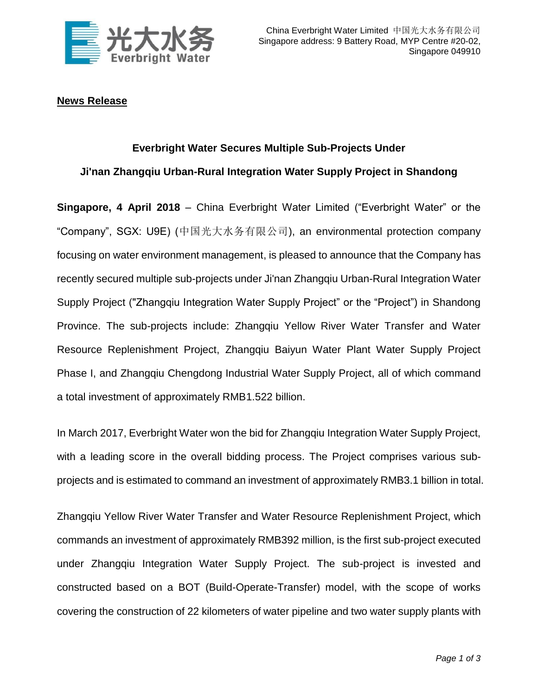

# **News Release**

## **Everbright Water Secures Multiple Sub-Projects Under**

# **Ji'nan Zhangqiu Urban-Rural Integration Water Supply Project in Shandong**

**Singapore, 4 April 2018** – China Everbright Water Limited ("Everbright Water" or the "Company", SGX: U9E) (中国光大水务有限公司), an environmental protection company focusing on water environment management, is pleased to announce that the Company has recently secured multiple sub-projects under Ji'nan Zhangqiu Urban-Rural Integration Water Supply Project ("Zhangqiu Integration Water Supply Project" or the "Project") in Shandong Province. The sub-projects include: Zhangqiu Yellow River Water Transfer and Water Resource Replenishment Project, Zhangqiu Baiyun Water Plant Water Supply Project Phase I, and Zhangqiu Chengdong Industrial Water Supply Project, all of which command a total investment of approximately RMB1.522 billion.

In March 2017, Everbright Water won the bid for Zhangqiu Integration Water Supply Project, with a leading score in the overall bidding process. The Project comprises various subprojects and is estimated to command an investment of approximately RMB3.1 billion in total.

Zhangqiu Yellow River Water Transfer and Water Resource Replenishment Project, which commands an investment of approximately RMB392 million, is the first sub-project executed under Zhangqiu Integration Water Supply Project. The sub-project is invested and constructed based on a BOT (Build-Operate-Transfer) model, with the scope of works covering the construction of 22 kilometers of water pipeline and two water supply plants with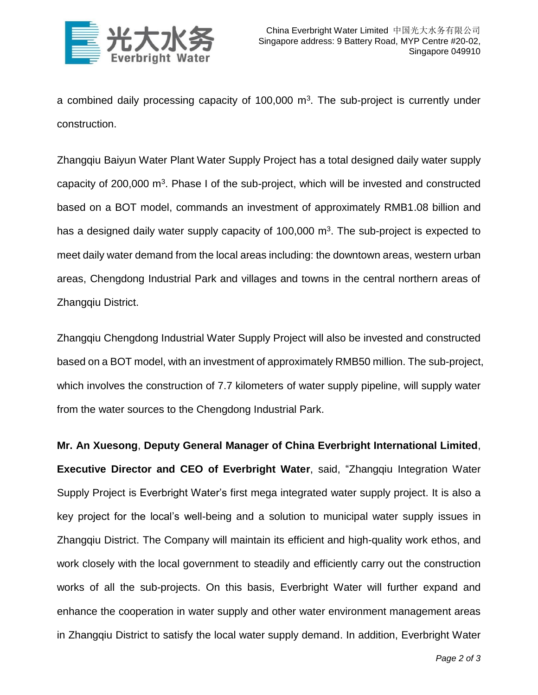

a combined daily processing capacity of  $100,000$  m<sup>3</sup>. The sub-project is currently under construction.

Zhangqiu Baiyun Water Plant Water Supply Project has a total designed daily water supply capacity of  $200,000$  m<sup>3</sup>. Phase I of the sub-project, which will be invested and constructed based on a BOT model, commands an investment of approximately RMB1.08 billion and has a designed daily water supply capacity of  $100,000$  m<sup>3</sup>. The sub-project is expected to meet daily water demand from the local areas including: the downtown areas, western urban areas, Chengdong Industrial Park and villages and towns in the central northern areas of Zhangqiu District.

Zhangqiu Chengdong Industrial Water Supply Project will also be invested and constructed based on a BOT model, with an investment of approximately RMB50 million. The sub-project, which involves the construction of 7.7 kilometers of water supply pipeline, will supply water from the water sources to the Chengdong Industrial Park.

**Mr. An Xuesong**, **Deputy General Manager of China Everbright International Limited**, **Executive Director and CEO of Everbright Water**, said, "Zhangqiu Integration Water Supply Project is Everbright Water's first mega integrated water supply project. It is also a key project for the local's well-being and a solution to municipal water supply issues in Zhangqiu District. The Company will maintain its efficient and high-quality work ethos, and work closely with the local government to steadily and efficiently carry out the construction works of all the sub-projects. On this basis, Everbright Water will further expand and enhance the cooperation in water supply and other water environment management areas in Zhangqiu District to satisfy the local water supply demand. In addition, Everbright Water